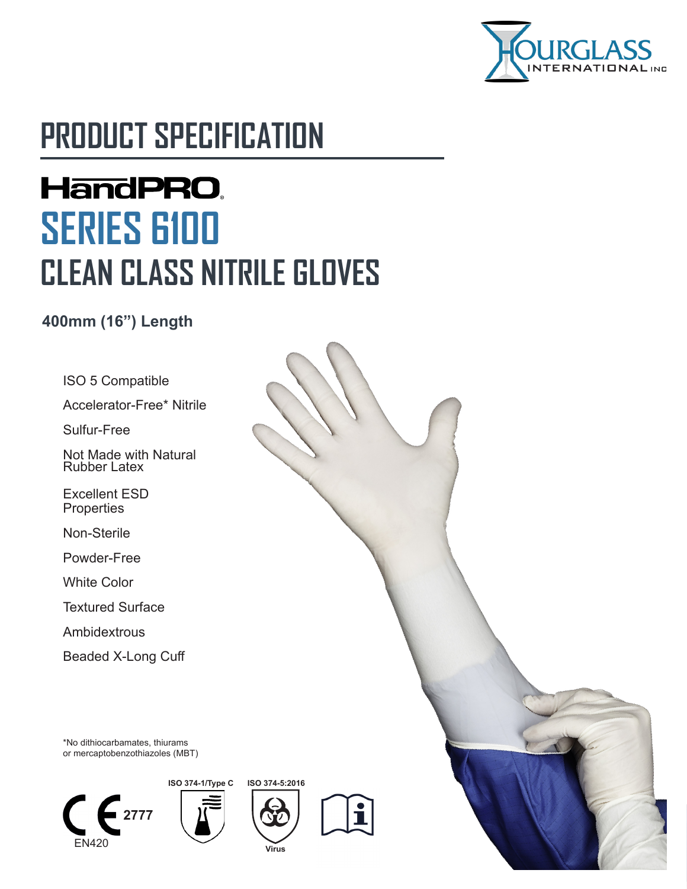

# **PRODUCT SPECIFICATION**

# **HandPRO. SERIES 6100 CLEAN CLASS NITRILE GLOVES**

#### **400mm (16") Length**

ISO 5 Compatible

Accelerator-Free\* Nitrile

Sulfur-Free

Not Made with Natural Rubber Latex

Excellent ESD **Properties** 

Non-Sterile

Powder-Free

White Color

Textured Surface

Ambidextrous

Beaded X-Long Cuff

\*No dithiocarbamates, thiurams or mercaptobenzothiazoles (MBT)